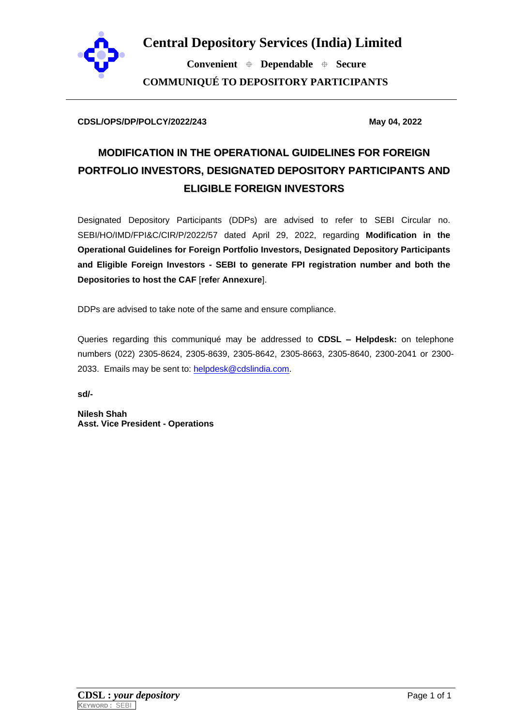

**Central Depository Services (India) Limited**

 **Convenient Dependable Secure COMMUNIQUÉ TO DEPOSITORY PARTICIPANTS**

#### **CDSL/OPS/DP/POLCY/2022/243 May 04, 2022**

# **MODIFICATION IN THE OPERATIONAL GUIDELINES FOR FOREIGN PORTFOLIO INVESTORS, DESIGNATED DEPOSITORY PARTICIPANTS AND ELIGIBLE FOREIGN INVESTORS**

Designated Depository Participants (DDPs) are advised to refer to SEBI Circular no. SEBI/HO/IMD/FPI&C/CIR/P/2022/57 dated April 29, 2022, regarding **Modification in the Operational Guidelines for Foreign Portfolio Investors, Designated Depository Participants and Eligible Foreign Investors - SEBI to generate FPI registration number and both the Depositories to host the CAF** [**refe**r **Annexure**].

DDPs are advised to take note of the same and ensure compliance.

Queries regarding this communiqué may be addressed to **CDSL – Helpdesk:** on telephone numbers (022) 2305-8624, 2305-8639, 2305-8642, 2305-8663, 2305-8640, 2300-2041 or 2300 2033. Emails may be sent to: [helpdesk@cdslindia.com.](mailto:helpdesk@cdslindia.com)

**sd/-**

**Nilesh Shah Asst. Vice President - Operations**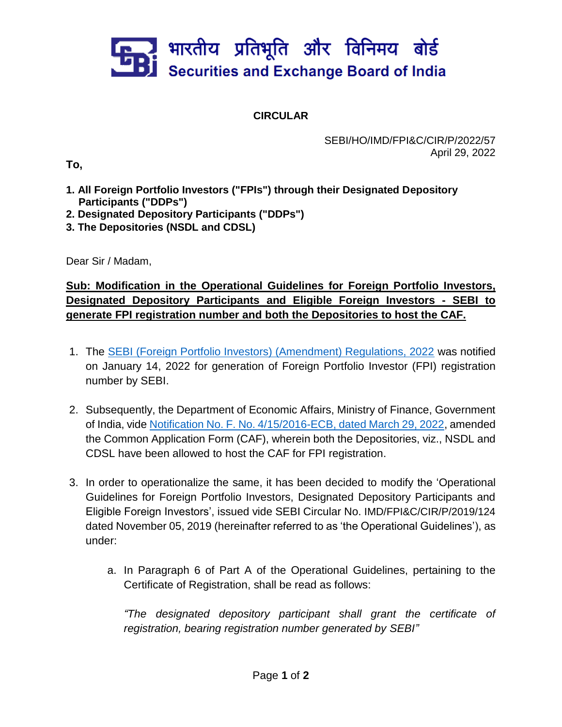# ] भारतीय प्रतिभूति और विनिमय बोर्ड<br>] Securities and Exchange Board of India

## **CIRCULAR**

### SEBI/HO/IMD/FPI&C/CIR/P/2022/57 April 29, 2022

**To,**

- **1. All Foreign Portfolio Investors ("FPIs") through their Designated Depository Participants ("DDPs")**
- **2. Designated Depository Participants ("DDPs")**
- **3. The Depositories (NSDL and CDSL)**

Dear Sir / Madam,

**Sub: Modification in the Operational Guidelines for Foreign Portfolio Investors, Designated Depository Participants and Eligible Foreign Investors - SEBI to generate FPI registration number and both the Depositories to host the CAF.** 

- 1. The [SEBI \(Foreign Portfolio Investors\) \(Amendment\) Regulations, 2022](https://www.sebi.gov.in/legal/regulations/jan-2022/securities-and-exchange-board-of-india-foreign-portfolio-investors-amendment-regulations-2022_55352.html) was notified on January 14, 2022 for generation of Foreign Portfolio Investor (FPI) registration number by SEBI.
- 2. Subsequently, the Department of Economic Affairs, Ministry of Finance, Government of India, vide [Notification No. F. No. 4/15/2016-ECB, dated March 29, 2022,](https://egazette.nic.in/WriteReadData/2022/234620.pdf) amended the Common Application Form (CAF), wherein both the Depositories, viz., NSDL and CDSL have been allowed to host the CAF for FPI registration.
- 3. In order to operationalize the same, it has been decided to modify the 'Operational Guidelines for Foreign Portfolio Investors, Designated Depository Participants and Eligible Foreign Investors', issued vide SEBI Circular No. IMD/FPI&C/CIR/P/2019/124 dated November 05, 2019 (hereinafter referred to as 'the Operational Guidelines'), as under:
	- a. In Paragraph 6 of Part A of the Operational Guidelines, pertaining to the Certificate of Registration, shall be read as follows:

*"The designated depository participant shall grant the certificate of registration, bearing registration number generated by SEBI"*